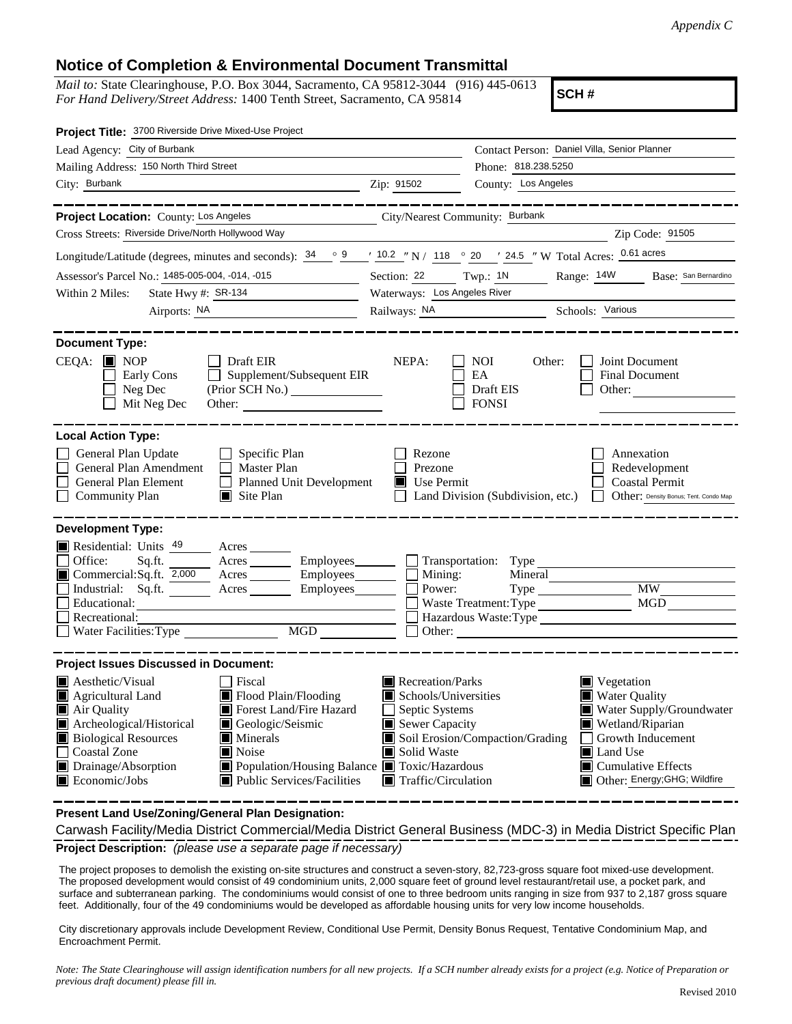## **Notice of Completion & Environmental Document Transmittal**

*Mail to:* State Clearinghouse, P.O. Box 3044, Sacramento, CA 95812-3044 (916) 445-0613 *For Hand Delivery/Street Address:* 1400 Tenth Street, Sacramento, CA 95814

**SCH #**

| Project Title: 3700 Riverside Drive Mixed-Use Project                                                                                                                                                                                                                                                                                                                                                                           |                                                                                                                                                  |                                                                                                                                                                                                                                                 |  |
|---------------------------------------------------------------------------------------------------------------------------------------------------------------------------------------------------------------------------------------------------------------------------------------------------------------------------------------------------------------------------------------------------------------------------------|--------------------------------------------------------------------------------------------------------------------------------------------------|-------------------------------------------------------------------------------------------------------------------------------------------------------------------------------------------------------------------------------------------------|--|
| Lead Agency: City of Burbank                                                                                                                                                                                                                                                                                                                                                                                                    |                                                                                                                                                  | Contact Person: Daniel Villa, Senior Planner                                                                                                                                                                                                    |  |
| Mailing Address: 150 North Third Street                                                                                                                                                                                                                                                                                                                                                                                         |                                                                                                                                                  | Phone: 818.238.5250                                                                                                                                                                                                                             |  |
| City: Burbank                                                                                                                                                                                                                                                                                                                                                                                                                   | Zip: 91502                                                                                                                                       | County: Los Angeles                                                                                                                                                                                                                             |  |
|                                                                                                                                                                                                                                                                                                                                                                                                                                 |                                                                                                                                                  |                                                                                                                                                                                                                                                 |  |
| Project Location: County: Los Angeles                                                                                                                                                                                                                                                                                                                                                                                           | City/Nearest Community: Burbank                                                                                                                  |                                                                                                                                                                                                                                                 |  |
| Cross Streets: Riverside Drive/North Hollywood Way                                                                                                                                                                                                                                                                                                                                                                              |                                                                                                                                                  | Zip Code: 91505                                                                                                                                                                                                                                 |  |
| Longitude/Latitude (degrees, minutes and seconds): $34 \degree$ 9 / 10.2 "N / 118 ° 20 / 24.5 "W Total Acres: 0.61 acres                                                                                                                                                                                                                                                                                                        |                                                                                                                                                  |                                                                                                                                                                                                                                                 |  |
| Assessor's Parcel No.: 1485-005-004, -014, -015                                                                                                                                                                                                                                                                                                                                                                                 | Section: 22<br>Twp.: 1N<br>Range: 14W Base: San Bernardino                                                                                       |                                                                                                                                                                                                                                                 |  |
| State Hwy #: SR-134<br>Within 2 Miles:                                                                                                                                                                                                                                                                                                                                                                                          | Waterways: Los Angeles River                                                                                                                     |                                                                                                                                                                                                                                                 |  |
| Airports: NA<br><u> 1989 - Johann Barnett, fransk politiker (</u>                                                                                                                                                                                                                                                                                                                                                               |                                                                                                                                                  | Railways: NA Schools: Various                                                                                                                                                                                                                   |  |
| <b>Document Type:</b><br>$CEQA:$ MOP<br>Draft EIR<br>$\Box$ Supplement/Subsequent EIR<br>Early Cons<br>Neg Dec<br>(Prior SCH No.)<br>Mit Neg Dec                                                                                                                                                                                                                                                                                | NEPA:                                                                                                                                            | NOI.<br>Other:<br>Joint Document<br><b>Final Document</b><br>EA<br>Draft EIS<br>Other:<br><b>FONSI</b>                                                                                                                                          |  |
| <b>Local Action Type:</b>                                                                                                                                                                                                                                                                                                                                                                                                       |                                                                                                                                                  |                                                                                                                                                                                                                                                 |  |
| General Plan Update<br>$\Box$ Specific Plan<br>General Plan Amendment<br>$\Box$ Master Plan<br>General Plan Element<br>Planned Unit Development<br><b>Community Plan</b><br>$\blacksquare$ Site Plan                                                                                                                                                                                                                            | Rezone<br>Prezone<br>$\blacksquare$ Use Permit                                                                                                   | Annexation<br>Redevelopment<br><b>Coastal Permit</b><br>Other: Density Bonus; Tent. Condo Map<br>Land Division (Subdivision, etc.)                                                                                                              |  |
| <b>Development Type:</b><br>Residential: Units 49<br>Acres<br>Office:<br>Sq.ft.<br>Industrial: Sq.ft. Acres Employees<br>Educational:<br>Recreational:<br>Water Facilities: Type<br>MGD NGD                                                                                                                                                                                                                                     | Power:                                                                                                                                           | Acres <u>Community Employees</u> <b>Community</b> Transportation: Type<br>Mineral<br><b>MW</b><br>MGD<br>Hazardous Waste:Type<br>Other:                                                                                                         |  |
| <b>Project Issues Discussed in Document:</b>                                                                                                                                                                                                                                                                                                                                                                                    |                                                                                                                                                  |                                                                                                                                                                                                                                                 |  |
| <b>A</b> esthetic/Visual<br>Fiscal<br>Flood Plain/Flooding<br>$\blacksquare$ Agricultural Land<br>Forest Land/Fire Hazard<br>Air Quality<br>Archeological/Historical<br>Geologic/Seismic<br><b>Biological Resources</b><br>$\blacksquare$ Minerals<br>Coastal Zone<br>$\blacksquare$ Noise<br>Drainage/Absorption<br>Population/Housing Balance Toxic/Hazardous<br>$\blacksquare$ Economic/Jobs<br>■ Public Services/Facilities | Recreation/Parks<br>$\blacksquare$ Schools/Universities<br>Septic Systems<br>Sewer Capacity<br>Solid Waste<br>$\blacksquare$ Traffic/Circulation | $\blacksquare$ Vegetation<br>■ Water Quality<br>Water Supply/Groundwater<br>Wetland/Riparian<br>Soil Erosion/Compaction/Grading<br>Growth Inducement<br>$\Box$<br>Land Use<br>$\blacksquare$ Cumulative Effects<br>Other: Energy; GHG; Wildfire |  |

**Present Land Use/Zoning/General Plan Designation:**

**Project Description:** *(please use a separate page if necessary)* Carwash Facility/Media District Commercial/Media District General Business (MDC-3) in Media District Specific Plan

 The project proposes to demolish the existing on-site structures and construct a seven-story, 82,723-gross square foot mixed-use development. The proposed development would consist of 49 condominium units, 2,000 square feet of ground level restaurant/retail use, a pocket park, and surface and subterranean parking. The condominiums would consist of one to three bedroom units ranging in size from 937 to 2,187 gross square feet. Additionally, four of the 49 condominiums would be developed as affordable housing units for very low income households.

City discretionary approvals include Development Review, Conditional Use Permit, Density Bonus Request, Tentative Condominium Map, and Encroachment Permit.

*Note: The State Clearinghouse will assign identification numbers for all new projects. If a SCH number already exists for a project (e.g. Notice of Preparation or previous draft document) please fill in.*